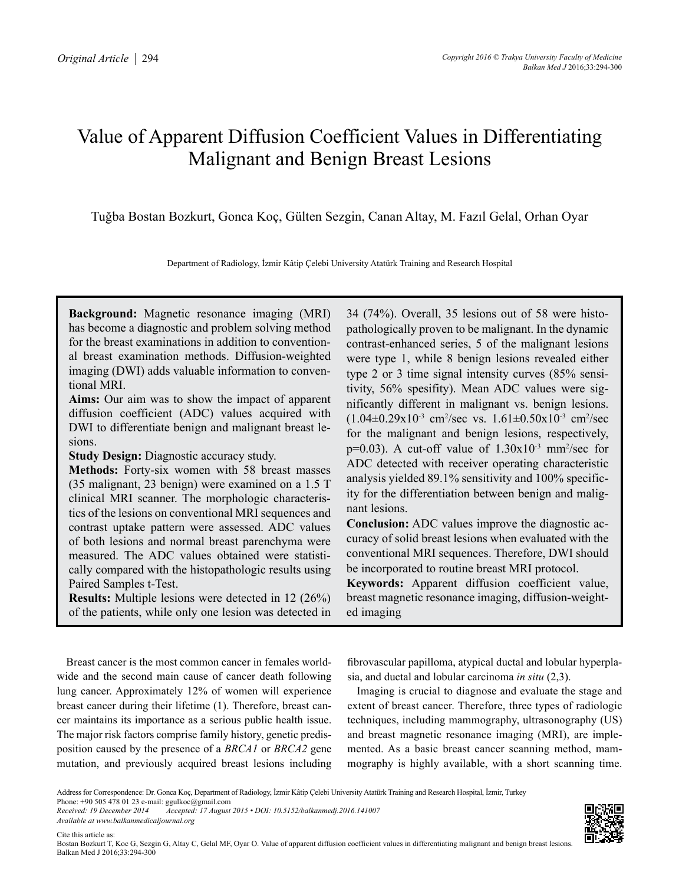# Value of Apparent Diffusion Coefficient Values in Differentiating Malignant and Benign Breast Lesions

Tuğba Bostan Bozkurt, Gonca Koç, Gülten Sezgin, Canan Altay, M. Fazıl Gelal, Orhan Oyar

Department of Radiology, İzmir Kâtip Çelebi University Atatürk Training and Research Hospital

**Background:** Magnetic resonance imaging (MRI) has become a diagnostic and problem solving method for the breast examinations in addition to conventional breast examination methods. Diffusion-weighted imaging (DWI) adds valuable information to conventional MRI.

**Aims:** Our aim was to show the impact of apparent diffusion coefficient (ADC) values acquired with DWI to differentiate benign and malignant breast lesions.

**Study Design:** Diagnostic accuracy study.

**Methods:** Forty-six women with 58 breast masses (35 malignant, 23 benign) were examined on a 1.5 T clinical MRI scanner. The morphologic characteristics of the lesions on conventional MRI sequences and contrast uptake pattern were assessed. ADC values of both lesions and normal breast parenchyma were measured. The ADC values obtained were statistically compared with the histopathologic results using Paired Samples t-Test.

**Results:** Multiple lesions were detected in 12 (26%) of the patients, while only one lesion was detected in 34 (74%). Overall, 35 lesions out of 58 were histopathologically proven to be malignant. In the dynamic contrast-enhanced series, 5 of the malignant lesions were type 1, while 8 benign lesions revealed either type 2 or 3 time signal intensity curves (85% sensitivity, 56% spesifity). Mean ADC values were significantly different in malignant vs. benign lesions.  $(1.04 \pm 0.29 \times 10^{-3} \text{ cm}^2/\text{sec} \text{ vs. } 1.61 \pm 0.50 \times 10^{-3} \text{ cm}^2/\text{sec}$ for the malignant and benign lesions, respectively,  $p=0.03$ ). A cut-off value of  $1.30x10^{-3}$  mm<sup>2</sup>/sec for ADC detected with receiver operating characteristic analysis yielded 89.1% sensitivity and 100% specificity for the differentiation between benign and malignant lesions.

**Conclusion:** ADC values improve the diagnostic accuracy of solid breast lesions when evaluated with the conventional MRI sequences. Therefore, DWI should be incorporated to routine breast MRI protocol.

**Keywords:** Apparent diffusion coefficient value, breast magnetic resonance imaging, diffusion-weighted imaging

Breast cancer is the most common cancer in females worldwide and the second main cause of cancer death following lung cancer. Approximately 12% of women will experience breast cancer during their lifetime (1). Therefore, breast cancer maintains its importance as a serious public health issue. The major risk factors comprise family history, genetic predisposition caused by the presence of a *BRCA1* or *BRCA2* gene mutation, and previously acquired breast lesions including

fibrovascular papilloma, atypical ductal and lobular hyperplasia, and ductal and lobular carcinoma *in situ* (2,3).

Imaging is crucial to diagnose and evaluate the stage and extent of breast cancer. Therefore, three types of radiologic techniques, including mammography, ultrasonography (US) and breast magnetic resonance imaging (MRI), are implemented. As a basic breast cancer scanning method, mammography is highly available, with a short scanning time.

*Available at www.balkanmedicaljournal.org*



Address for Correspondence: Dr. Gonca Koç, Department of Radiology, İzmir Kâtip Çelebi University Atatürk Training and Research Hospital, İzmir, Turkey

Phone: +90 505 478 01 23 e-mail: ggulkoc@gmail.com<br>Received: 19 December 2014 Accepted: 17 August *Received: 19 December 2014 Accepted: 17 August 2015 • DOI: 10.5152/balkanmedj.2016.141007*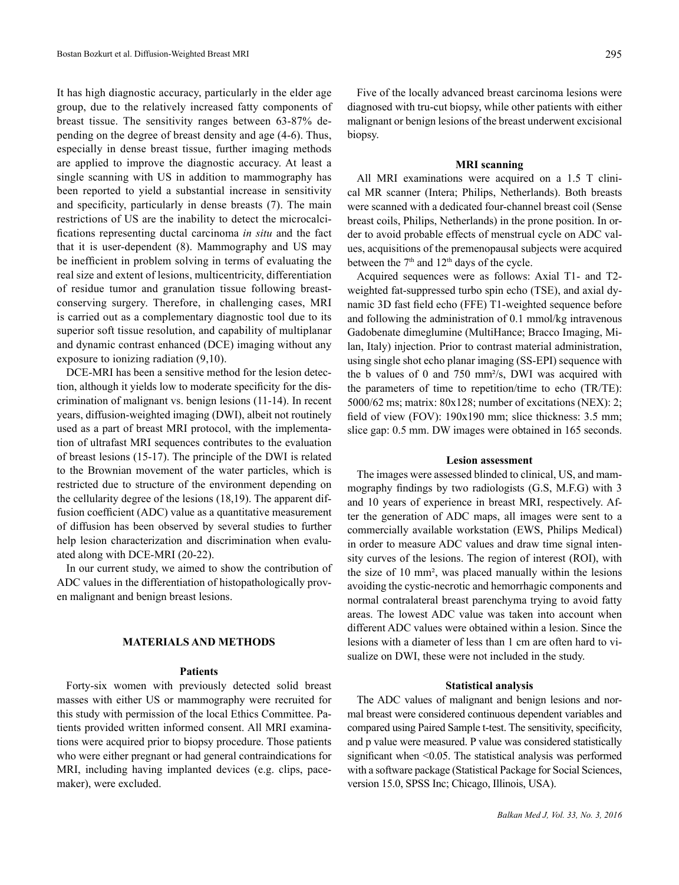It has high diagnostic accuracy, particularly in the elder age group, due to the relatively increased fatty components of breast tissue. The sensitivity ranges between 63-87% depending on the degree of breast density and age (4-6). Thus, especially in dense breast tissue, further imaging methods are applied to improve the diagnostic accuracy. At least a single scanning with US in addition to mammography has been reported to yield a substantial increase in sensitivity and specificity, particularly in dense breasts (7). The main restrictions of US are the inability to detect the microcalcifications representing ductal carcinoma *in situ* and the fact that it is user-dependent (8). Mammography and US may be inefficient in problem solving in terms of evaluating the real size and extent of lesions, multicentricity, differentiation of residue tumor and granulation tissue following breastconserving surgery. Therefore, in challenging cases, MRI is carried out as a complementary diagnostic tool due to its superior soft tissue resolution, and capability of multiplanar and dynamic contrast enhanced (DCE) imaging without any exposure to ionizing radiation (9,10).

DCE-MRI has been a sensitive method for the lesion detection, although it yields low to moderate specificity for the discrimination of malignant vs. benign lesions (11-14). In recent years, diffusion-weighted imaging (DWI), albeit not routinely used as a part of breast MRI protocol, with the implementation of ultrafast MRI sequences contributes to the evaluation of breast lesions (15-17). The principle of the DWI is related to the Brownian movement of the water particles, which is restricted due to structure of the environment depending on the cellularity degree of the lesions (18,19). The apparent diffusion coefficient (ADC) value as a quantitative measurement of diffusion has been observed by several studies to further help lesion characterization and discrimination when evaluated along with DCE-MRI (20-22).

In our current study, we aimed to show the contribution of ADC values in the differentiation of histopathologically proven malignant and benign breast lesions.

# **MATERIALS AND METHODS**

## **Patients**

Forty-six women with previously detected solid breast masses with either US or mammography were recruited for this study with permission of the local Ethics Committee. Patients provided written informed consent. All MRI examinations were acquired prior to biopsy procedure. Those patients who were either pregnant or had general contraindications for MRI, including having implanted devices (e.g. clips, pacemaker), were excluded.

Five of the locally advanced breast carcinoma lesions were diagnosed with tru-cut biopsy, while other patients with either malignant or benign lesions of the breast underwent excisional biopsy.

#### **MRI scanning**

All MRI examinations were acquired on a 1.5 T clinical MR scanner (Intera; Philips, Netherlands). Both breasts were scanned with a dedicated four-channel breast coil (Sense breast coils, Philips, Netherlands) in the prone position. In order to avoid probable effects of menstrual cycle on ADC values, acquisitions of the premenopausal subjects were acquired between the  $7<sup>th</sup>$  and  $12<sup>th</sup>$  days of the cycle.

Acquired sequences were as follows: Axial T1- and T2 weighted fat-suppressed turbo spin echo (TSE), and axial dynamic 3D fast field echo (FFE) T1-weighted sequence before and following the administration of 0.1 mmol/kg intravenous Gadobenate dimeglumine (MultiHance; Bracco Imaging, Milan, Italy) injection. Prior to contrast material administration, using single shot echo planar imaging (SS-EPI) sequence with the b values of 0 and 750 mm²/s, DWI was acquired with the parameters of time to repetition/time to echo (TR/TE): 5000/62 ms; matrix: 80x128; number of excitations (NEX): 2; field of view (FOV): 190x190 mm; slice thickness: 3.5 mm; slice gap: 0.5 mm. DW images were obtained in 165 seconds.

#### **Lesion assessment**

The images were assessed blinded to clinical, US, and mammography findings by two radiologists (G.S, M.F.G) with 3 and 10 years of experience in breast MRI, respectively. After the generation of ADC maps, all images were sent to a commercially available workstation (EWS, Philips Medical) in order to measure ADC values and draw time signal intensity curves of the lesions. The region of interest (ROI), with the size of 10 mm², was placed manually within the lesions avoiding the cystic-necrotic and hemorrhagic components and normal contralateral breast parenchyma trying to avoid fatty areas. The lowest ADC value was taken into account when different ADC values were obtained within a lesion. Since the lesions with a diameter of less than 1 cm are often hard to visualize on DWI, these were not included in the study.

## **Statistical analysis**

The ADC values of malignant and benign lesions and normal breast were considered continuous dependent variables and compared using Paired Sample t-test. The sensitivity, specificity, and p value were measured. P value was considered statistically significant when <0.05. The statistical analysis was performed with a software package (Statistical Package for Social Sciences, version 15.0, SPSS Inc; Chicago, Illinois, USA).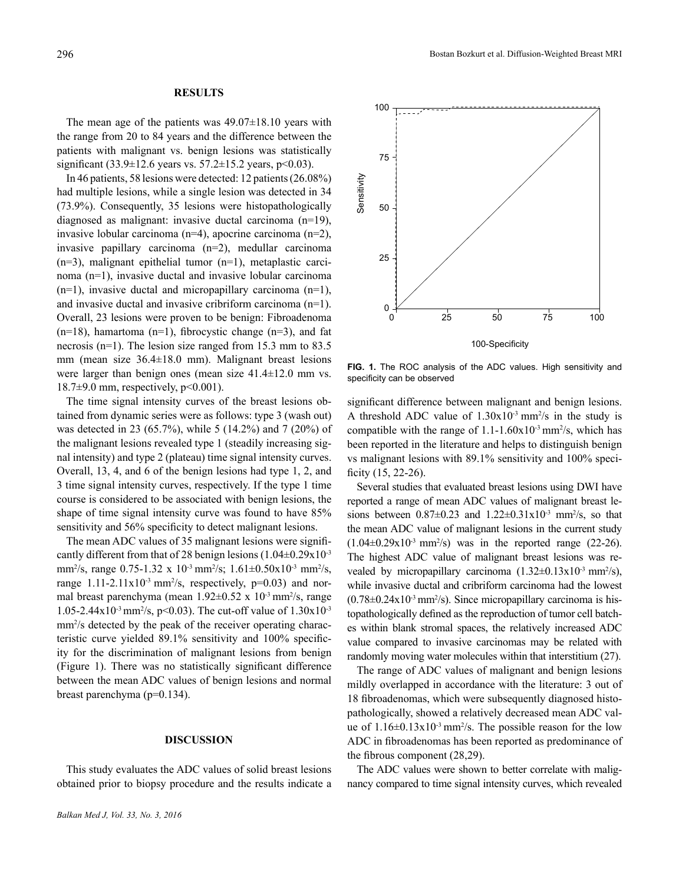# **RESULTS**

The mean age of the patients was  $49.07\pm18.10$  years with the range from 20 to 84 years and the difference between the patients with malignant vs. benign lesions was statistically significant  $(33.9 \pm 12.6 \text{ years} \text{ vs. } 57.2 \pm 15.2 \text{ years}, \text{ p} < 0.03)$ .

In 46 patients, 58 lesions were detected: 12 patients (26.08%) had multiple lesions, while a single lesion was detected in 34 (73.9%). Consequently, 35 lesions were histopathologically diagnosed as malignant: invasive ductal carcinoma (n=19), invasive lobular carcinoma (n=4), apocrine carcinoma (n=2), invasive papillary carcinoma (n=2), medullar carcinoma  $(n=3)$ , malignant epithelial tumor  $(n=1)$ , metaplastic carcinoma (n=1), invasive ductal and invasive lobular carcinoma  $(n=1)$ , invasive ductal and micropapillary carcinoma  $(n=1)$ , and invasive ductal and invasive cribriform carcinoma (n=1). Overall, 23 lesions were proven to be benign: Fibroadenoma  $(n=18)$ , hamartoma  $(n=1)$ , fibrocystic change  $(n=3)$ , and fat necrosis (n=1). The lesion size ranged from 15.3 mm to 83.5 mm (mean size 36.4±18.0 mm). Malignant breast lesions were larger than benign ones (mean size 41.4±12.0 mm vs.  $18.7\pm9.0$  mm, respectively, p<0.001).

The time signal intensity curves of the breast lesions obtained from dynamic series were as follows: type 3 (wash out) was detected in 23 (65.7%), while 5 (14.2%) and 7 (20%) of the malignant lesions revealed type 1 (steadily increasing signal intensity) and type 2 (plateau) time signal intensity curves. Overall, 13, 4, and 6 of the benign lesions had type 1, 2, and 3 time signal intensity curves, respectively. If the type 1 time course is considered to be associated with benign lesions, the shape of time signal intensity curve was found to have 85% sensitivity and 56% specificity to detect malignant lesions.

The mean ADC values of 35 malignant lesions were significantly different from that of 28 benign lesions  $(1.04\pm0.29x10^{-3})$ mm<sup>2</sup>/s, range  $0.75$ -1.32 x  $10^{-3}$  mm<sup>2</sup>/s;  $1.61 \pm 0.50 \times 10^{-3}$  mm<sup>2</sup>/s, range  $1.11-2.11 \times 10^{-3}$  mm<sup>2</sup>/s, respectively, p=0.03) and normal breast parenchyma (mean  $1.92 \pm 0.52 \times 10^{-3}$  mm<sup>2</sup>/s, range 1.05-2.44x10<sup>-3</sup> mm<sup>2</sup>/s, p<0.03). The cut-off value of  $1.30x10^{-3}$ mm<sup>2</sup>/s detected by the peak of the receiver operating characteristic curve yielded 89.1% sensitivity and 100% specificity for the discrimination of malignant lesions from benign (Figure 1). There was no statistically significant difference between the mean ADC values of benign lesions and normal breast parenchyma (p=0.134).

# **DISCUSSION**

This study evaluates the ADC values of solid breast lesions obtained prior to biopsy procedure and the results indicate a



**FIG. 1.** The ROC analysis of the ADC values. High sensitivity and specificity can be observed

significant difference between malignant and benign lesions. A threshold ADC value of  $1.30x10^3$  mm<sup>2</sup>/s in the study is compatible with the range of  $1.1\n-1.60x10\n3 mm<sup>2</sup>/s$ , which has been reported in the literature and helps to distinguish benign vs malignant lesions with 89.1% sensitivity and 100% specificity (15, 22-26).

Several studies that evaluated breast lesions using DWI have reported a range of mean ADC values of malignant breast lesions between  $0.87 \pm 0.23$  and  $1.22 \pm 0.31 \times 10^{-3}$  mm<sup>2</sup>/s, so that the mean ADC value of malignant lesions in the current study  $(1.04\pm 0.29 \times 10^{-3} \text{ mm}^2/\text{s})$  was in the reported range  $(22-26)$ . The highest ADC value of malignant breast lesions was revealed by micropapillary carcinoma  $(1.32 \pm 0.13 \times 10^{-3} \text{ mm}^2/\text{s})$ , while invasive ductal and cribriform carcinoma had the lowest  $(0.78 \pm 0.24 \times 10^{-3} \text{ mm}^2/\text{s})$ . Since micropapillary carcinoma is histopathologically defined as the reproduction of tumor cell batches within blank stromal spaces, the relatively increased ADC value compared to invasive carcinomas may be related with randomly moving water molecules within that interstitium (27).

The range of ADC values of malignant and benign lesions mildly overlapped in accordance with the literature: 3 out of 18 fibroadenomas, which were subsequently diagnosed histopathologically, showed a relatively decreased mean ADC value of  $1.16 \pm 0.13 \times 10^{-3}$  mm<sup>2</sup>/s. The possible reason for the low ADC in fibroadenomas has been reported as predominance of the fibrous component (28,29).

The ADC values were shown to better correlate with malignancy compared to time signal intensity curves, which revealed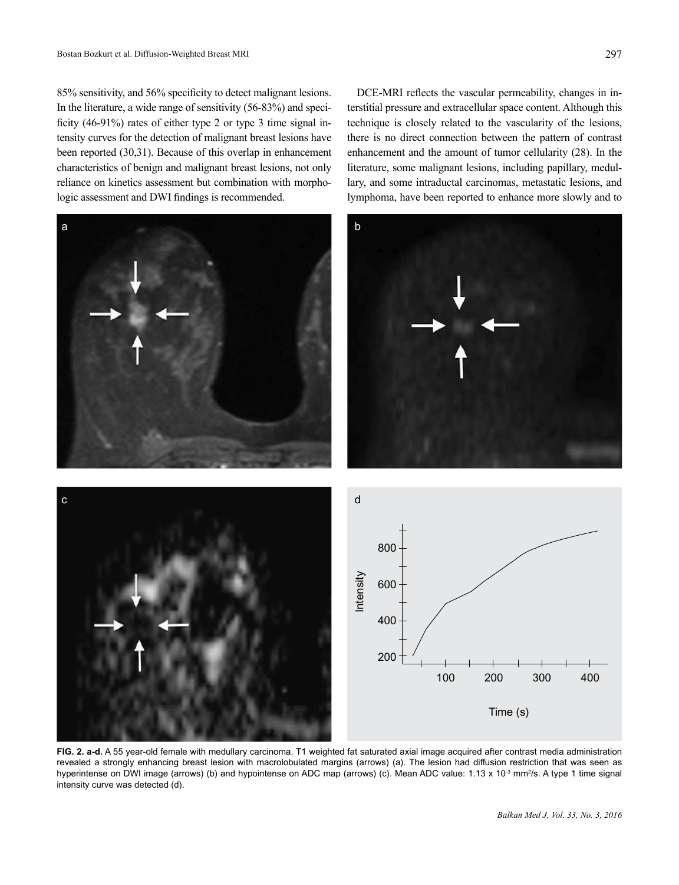85% sensitivity, and 56% specificity to detect malignant lesions. In the literature, a wide range of sensitivity (56-83%) and specificity (46-91%) rates of either type 2 or type 3 time signal intensity curves for the detection of malignant breast lesions have been reported (30,31). Because of this overlap in enhancement characteristics of benign and malignant breast lesions, not only reliance on kinetics assessment but combination with morphologic assessment and DWI findings is recommended.

DCE-MRI reflects the vascular permeability, changes in interstitial pressure and extracellular space content. Although this technique is closely related to the vascularity of the lesions, there is no direct connection between the pattern of contrast enhancement and the amount of tumor cellularity (28). In the literature, some malignant lesions, including papillary, medullary, and some intraductal carcinomas, metastatic lesions, and lymphoma, have been reported to enhance more slowly and to



**FIG. 2. a-d.** A 55 year-old female with medullary carcinoma. T1 weighted fat saturated axial image acquired after contrast media administration revealed a strongly enhancing breast lesion with macrolobulated margins (arrows) (a). The lesion had diffusion restriction that was seen as hyperintense on DWI image (arrows) (b) and hypointense on ADC map (arrows) (c). Mean ADC value: 1.13 x 10<sup>-3</sup> mm<sup>2</sup>/s. A type 1 time signal intensity curve was detected (d).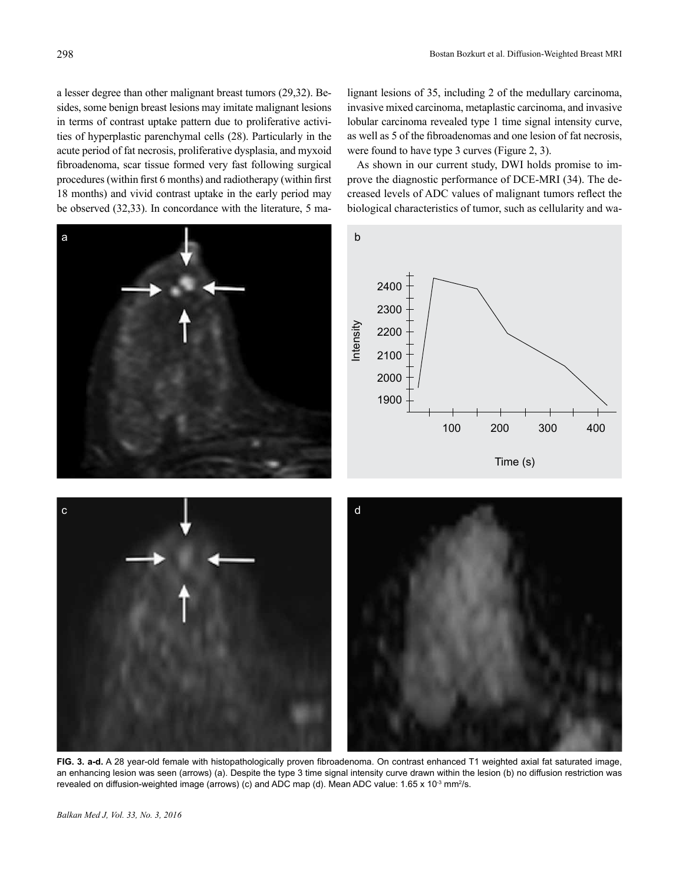a lesser degree than other malignant breast tumors (29,32). Besides, some benign breast lesions may imitate malignant lesions in terms of contrast uptake pattern due to proliferative activities of hyperplastic parenchymal cells (28). Particularly in the acute period of fat necrosis, proliferative dysplasia, and myxoid fibroadenoma, scar tissue formed very fast following surgical procedures (within first 6 months) and radiotherapy (within first 18 months) and vivid contrast uptake in the early period may be observed (32,33). In concordance with the literature, 5 malignant lesions of 35, including 2 of the medullary carcinoma, invasive mixed carcinoma, metaplastic carcinoma, and invasive lobular carcinoma revealed type 1 time signal intensity curve, as well as 5 of the fibroadenomas and one lesion of fat necrosis, were found to have type 3 curves (Figure 2, 3).

As shown in our current study, DWI holds promise to improve the diagnostic performance of DCE-MRI (34). The decreased levels of ADC values of malignant tumors reflect the biological characteristics of tumor, such as cellularity and wa-



**FIG. 3. a-d.** A 28 year-old female with histopathologically proven fibroadenoma. On contrast enhanced T1 weighted axial fat saturated image, an enhancing lesion was seen (arrows) (a). Despite the type 3 time signal intensity curve drawn within the lesion (b) no diffusion restriction was revealed on diffusion-weighted image (arrows) (c) and ADC map (d). Mean ADC value: 1.65 x 10<sup>-3</sup> mm<sup>2</sup>/s.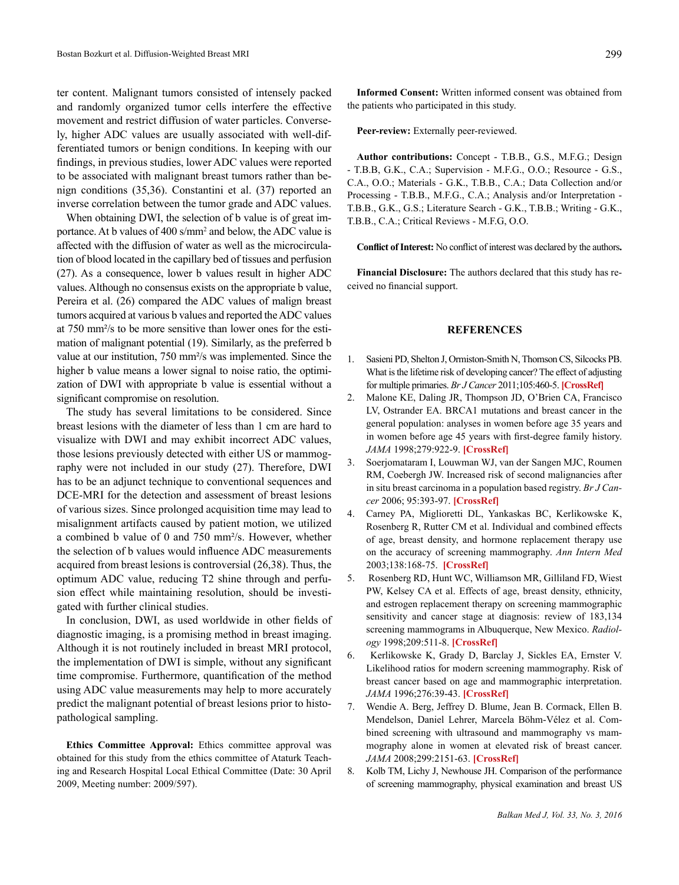ter content. Malignant tumors consisted of intensely packed and randomly organized tumor cells interfere the effective movement and restrict diffusion of water particles. Conversely, higher ADC values are usually associated with well-differentiated tumors or benign conditions. In keeping with our findings, in previous studies, lower ADC values were reported to be associated with malignant breast tumors rather than benign conditions (35,36). Constantini et al. (37) reported an inverse correlation between the tumor grade and ADC values.

When obtaining DWI, the selection of b value is of great importance. At b values of 400 s/mm<sup>2</sup> and below, the ADC value is affected with the diffusion of water as well as the microcirculation of blood located in the capillary bed of tissues and perfusion (27). As a consequence, lower b values result in higher ADC values. Although no consensus exists on the appropriate b value, Pereira et al. (26) compared the ADC values of malign breast tumors acquired at various b values and reported the ADC values at 750 mm²/s to be more sensitive than lower ones for the estimation of malignant potential (19). Similarly, as the preferred b value at our institution, 750 mm²/s was implemented. Since the higher b value means a lower signal to noise ratio, the optimization of DWI with appropriate b value is essential without a significant compromise on resolution.

The study has several limitations to be considered. Since breast lesions with the diameter of less than 1 cm are hard to visualize with DWI and may exhibit incorrect ADC values, those lesions previously detected with either US or mammography were not included in our study (27). Therefore, DWI has to be an adjunct technique to conventional sequences and DCE-MRI for the detection and assessment of breast lesions of various sizes. Since prolonged acquisition time may lead to misalignment artifacts caused by patient motion, we utilized a combined b value of 0 and 750 mm²/s. However, whether the selection of b values would influence ADC measurements acquired from breast lesions is controversial (26,38). Thus, the optimum ADC value, reducing T2 shine through and perfusion effect while maintaining resolution, should be investigated with further clinical studies.

In conclusion, DWI, as used worldwide in other fields of diagnostic imaging, is a promising method in breast imaging. Although it is not routinely included in breast MRI protocol, the implementation of DWI is simple, without any significant time compromise. Furthermore, quantification of the method using ADC value measurements may help to more accurately predict the malignant potential of breast lesions prior to histopathological sampling.

**Ethics Committee Approval:** Ethics committee approval was obtained for this study from the ethics committee of Ataturk Teaching and Research Hospital Local Ethical Committee (Date: 30 April 2009, Meeting number: 2009/597).

**Informed Consent:** Written informed consent was obtained from the patients who participated in this study.

**Peer-review:** Externally peer-reviewed.

**Author contributions:** Concept - T.B.B., G.S., M.F.G.; Design - T.B.B, G.K., C.A.; Supervision - M.F.G., O.O.; Resource - G.S., C.A., O.O.; Materials - G.K., T.B.B., C.A.; Data Collection and/or Processing - T.B.B., M.F.G., C.A.; Analysis and/or Interpretation - T.B.B., G.K., G.S.; Literature Search - G.K., T.B.B.; Writing - G.K., T.B.B., C.A.; Critical Reviews - M.F.G, O.O.

**Conflict of Interest:** No conflict of interest was declared by the authors**.** 

**Financial Disclosure:** The authors declared that this study has received no financial support.

## **REFERENCES**

- 1. Sasieni PD, Shelton J, Ormiston-Smith N, Thomson CS, Silcocks PB. What is the lifetime risk of developing cancer? The effect of adjusting for multiple primaries. *Br J Cancer* 2011;105:460-5. **[\[CrossRef\]](http://dx.doi.org/10.1038/bjc.2011.250)**
- 2. Malone KE, Daling JR, Thompson JD, O'Brien CA, Francisco LV, Ostrander EA. BRCA1 mutations and breast cancer in the general population: analyses in women before age 35 years and in women before age 45 years with first-degree family history. *JAMA* 1998;279:922-9. **[\[CrossRef\]](http://dx.doi.org/10.1001/jama.279.12.922)**
- 3. Soerjomataram I, Louwman WJ, van der Sangen MJC, Roumen RM, Coebergh JW. Increased risk of second malignancies after in situ breast carcinoma in a population based registry. *Br J Cancer* 2006; 95:393-97. **[\[CrossRef\]](http://dx.doi.org/10.1038/sj.bjc.6603231)**
- 4. [Carney PA,](http://www.ncbi.nlm.nih.gov/pubmed?term=Carney%20PA%5BAuthor%5D&cauthor=true&cauthor_uid=12558355) [Miglioretti DL,](http://www.ncbi.nlm.nih.gov/pubmed?term=Miglioretti%20DL%5BAuthor%5D&cauthor=true&cauthor_uid=12558355) [Yankaskas BC,](http://www.ncbi.nlm.nih.gov/pubmed?term=Yankaskas%20BC%5BAuthor%5D&cauthor=true&cauthor_uid=12558355) [Kerlikowske K](http://www.ncbi.nlm.nih.gov/pubmed?term=Kerlikowske%20K%5BAuthor%5D&cauthor=true&cauthor_uid=12558355), [Rosenberg R,](http://www.ncbi.nlm.nih.gov/pubmed?term=Rosenberg%20R%5BAuthor%5D&cauthor=true&cauthor_uid=12558355) [Rutter CM](http://www.ncbi.nlm.nih.gov/pubmed?term=Rutter%20CM%5BAuthor%5D&cauthor=true&cauthor_uid=12558355) et al. Individual and combined effects of age, breast density, and hormone replacement therapy use on the accuracy of screening mammography. *Ann Intern Med* 2003;138:168-75. **[\[CrossRef\]](http://dx.doi.org/10.7326/0003-4819-138-3-200302040-00008)**
- 5. Rosenberg RD, Hunt WC, Williamson MR, [Gilliland FD,](http://www.ncbi.nlm.nih.gov/pubmed?term=Gilliland%20FD%5BAuthor%5D&cauthor=true&cauthor_uid=9807581) [Wiest](http://www.ncbi.nlm.nih.gov/pubmed?term=Wiest%20PW%5BAuthor%5D&cauthor=true&cauthor_uid=9807581) [PW](http://www.ncbi.nlm.nih.gov/pubmed?term=Wiest%20PW%5BAuthor%5D&cauthor=true&cauthor_uid=9807581), [Kelsey CA](http://www.ncbi.nlm.nih.gov/pubmed?term=Kelsey%20CA%5BAuthor%5D&cauthor=true&cauthor_uid=9807581) et al. Effects of age, breast density, ethnicity, and estrogen replacement therapy on screening mammographic sensitivity and cancer stage at diagnosis: review of 183,134 screening mammograms in Albuquerque, New Mexico. *Radiology* 1998;209:511-8. **[\[CrossRef\]](http://dx.doi.org/10.1148/radiology.209.2.9807581)**
- 6. Kerlikowske K, Grady D, Barclay J, [Sickles EA,](http://www.ncbi.nlm.nih.gov/pubmed?term=Sickles%20EA%5BAuthor%5D&cauthor=true&cauthor_uid=8667537) [Ernster V](http://www.ncbi.nlm.nih.gov/pubmed?term=Ernster%20V%5BAuthor%5D&cauthor=true&cauthor_uid=8667537). Likelihood ratios for modern screening mammography. Risk of breast cancer based on age and mammographic interpretation. *JAMA* 1996;276:39-43. **[\[CrossRef\]](http://dx.doi.org/10.1001/jama.1996.03540010041028)**
- 7. Wendie A. Berg, Jeffrey D. Blume, Jean B. Cormack, Ellen B. Mendelson, Daniel Lehrer, Marcela Böhm-Vélez et al. Combined screening with ultrasound and mammography vs mammography alone in women at elevated risk of breast cancer. *JAMA* 2008;299:2151-63. **[\[CrossRef\]](http://dx.doi.org/10.1001/jama.299.18.2151)**
- 8. Kolb TM, Lichy J, Newhouse JH. Comparison of the performance of screening mammography, physical examination and breast US